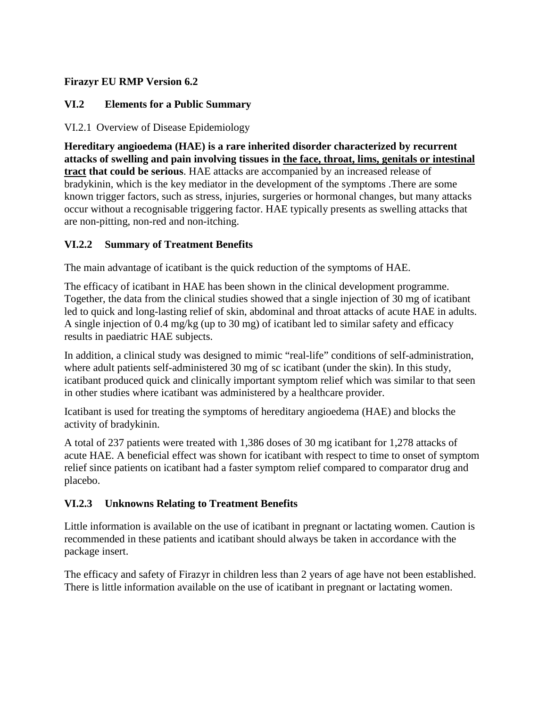## **Firazyr EU RMP Version 6.2**

## **VI.2 Elements for a Public Summary**

## VI.2.1 Overview of Disease Epidemiology

**Hereditary angioedema (HAE) is a rare inherited disorder characterized by recurrent attacks of swelling and pain involving tissues in the face, throat, lims, genitals or intestinal tract that could be serious**. HAE attacks are accompanied by an increased release of bradykinin, which is the key mediator in the development of the symptoms .There are some known trigger factors, such as stress, injuries, surgeries or hormonal changes, but many attacks occur without a recognisable triggering factor. HAE typically presents as swelling attacks that are non-pitting, non-red and non-itching.

## **VI.2.2 Summary of Treatment Benefits**

The main advantage of icatibant is the quick reduction of the symptoms of HAE.

The efficacy of icatibant in HAE has been shown in the clinical development programme. Together, the data from the clinical studies showed that a single injection of 30 mg of icatibant led to quick and long-lasting relief of skin, abdominal and throat attacks of acute HAE in adults. A single injection of 0.4 mg/kg (up to 30 mg) of icatibant led to similar safety and efficacy results in paediatric HAE subjects.

In addition, a clinical study was designed to mimic "real-life" conditions of self-administration, where adult patients self-administered 30 mg of sc icatibant (under the skin). In this study, icatibant produced quick and clinically important symptom relief which was similar to that seen in other studies where icatibant was administered by a healthcare provider.

Icatibant is used for treating the symptoms of hereditary angioedema (HAE) and blocks the activity of bradykinin.

A total of 237 patients were treated with 1,386 doses of 30 mg icatibant for 1,278 attacks of acute HAE. A beneficial effect was shown for icatibant with respect to time to onset of symptom relief since patients on icatibant had a faster symptom relief compared to comparator drug and placebo.

## **VI.2.3 Unknowns Relating to Treatment Benefits**

Little information is available on the use of icatibant in pregnant or lactating women. Caution is recommended in these patients and icatibant should always be taken in accordance with the package insert.

The efficacy and safety of Firazyr in children less than 2 years of age have not been established. There is little information available on the use of icatibant in pregnant or lactating women.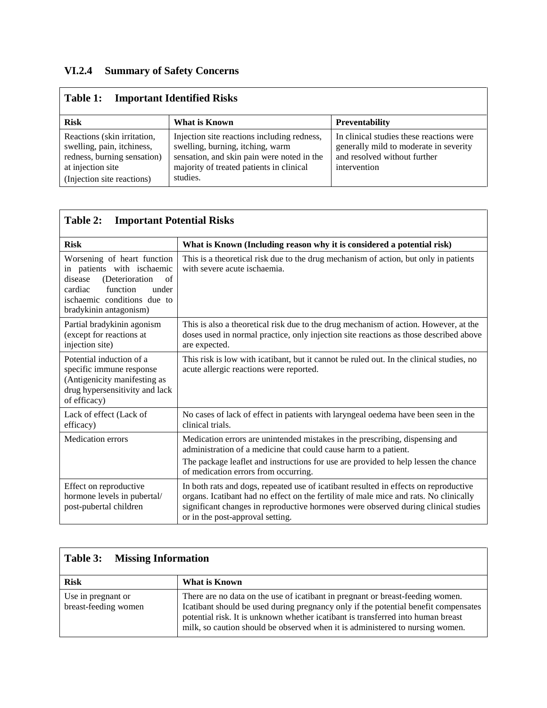# **VI.2.4 Summary of Safety Concerns**

| <b>Important Identified Risks</b><br>Table 1:                                                                                               |                                                                                                                                                                                       |                                                                                                                                    |  |  |  |
|---------------------------------------------------------------------------------------------------------------------------------------------|---------------------------------------------------------------------------------------------------------------------------------------------------------------------------------------|------------------------------------------------------------------------------------------------------------------------------------|--|--|--|
| <b>Risk</b>                                                                                                                                 | <b>Preventability</b>                                                                                                                                                                 |                                                                                                                                    |  |  |  |
| Reactions (skin irritation,<br>swelling, pain, itchiness,<br>redness, burning sensation)<br>at injection site<br>(Injection site reactions) | Injection site reactions including redness,<br>swelling, burning, itching, warm<br>sensation, and skin pain were noted in the<br>majority of treated patients in clinical<br>studies. | In clinical studies these reactions were<br>generally mild to moderate in severity<br>and resolved without further<br>intervention |  |  |  |

| Table 2:<br><b>Important Potential Risks</b>                                                                                                                                          |                                                                                                                                                                                                                                                                                                         |  |  |  |  |
|---------------------------------------------------------------------------------------------------------------------------------------------------------------------------------------|---------------------------------------------------------------------------------------------------------------------------------------------------------------------------------------------------------------------------------------------------------------------------------------------------------|--|--|--|--|
| <b>Risk</b>                                                                                                                                                                           | What is Known (Including reason why it is considered a potential risk)                                                                                                                                                                                                                                  |  |  |  |  |
| Worsening of heart function<br>in patients with ischaemic<br>(Deterioration<br>disease<br>of<br>cardiac<br>function<br>under<br>ischaemic conditions due to<br>bradykinin antagonism) | This is a theoretical risk due to the drug mechanism of action, but only in patients<br>with severe acute ischaemia.                                                                                                                                                                                    |  |  |  |  |
| Partial bradykinin agonism<br>(except for reactions at<br>injection site)                                                                                                             | This is also a theoretical risk due to the drug mechanism of action. However, at the<br>doses used in normal practice, only injection site reactions as those described above<br>are expected.                                                                                                          |  |  |  |  |
| Potential induction of a<br>specific immune response<br>(Antigenicity manifesting as<br>drug hypersensitivity and lack<br>of efficacy)                                                | This risk is low with icatibant, but it cannot be ruled out. In the clinical studies, no<br>acute allergic reactions were reported.                                                                                                                                                                     |  |  |  |  |
| Lack of effect (Lack of<br>efficacy)                                                                                                                                                  | No cases of lack of effect in patients with laryngeal oedema have been seen in the<br>clinical trials.                                                                                                                                                                                                  |  |  |  |  |
| <b>Medication</b> errors                                                                                                                                                              | Medication errors are unintended mistakes in the prescribing, dispensing and<br>administration of a medicine that could cause harm to a patient.                                                                                                                                                        |  |  |  |  |
|                                                                                                                                                                                       | The package leaflet and instructions for use are provided to help lessen the chance<br>of medication errors from occurring.                                                                                                                                                                             |  |  |  |  |
| Effect on reproductive<br>hormone levels in pubertal/<br>post-pubertal children                                                                                                       | In both rats and dogs, repeated use of icatibant resulted in effects on reproductive<br>organs. Icatibant had no effect on the fertility of male mice and rats. No clinically<br>significant changes in reproductive hormones were observed during clinical studies<br>or in the post-approval setting. |  |  |  |  |

| <b>Missing Information</b><br>Table 3:     |                                                                                                                                                                                                                                                                                                                                            |  |  |  |
|--------------------------------------------|--------------------------------------------------------------------------------------------------------------------------------------------------------------------------------------------------------------------------------------------------------------------------------------------------------------------------------------------|--|--|--|
| <b>Risk</b>                                | What is Known                                                                                                                                                                                                                                                                                                                              |  |  |  |
| Use in pregnant or<br>breast-feeding women | There are no data on the use of icatibant in pregnant or breast-feeding women.<br>Icatibant should be used during pregnancy only if the potential benefit compensates<br>potential risk. It is unknown whether icatibant is transferred into human breast<br>milk, so caution should be observed when it is administered to nursing women. |  |  |  |

 $\mathbf{r}$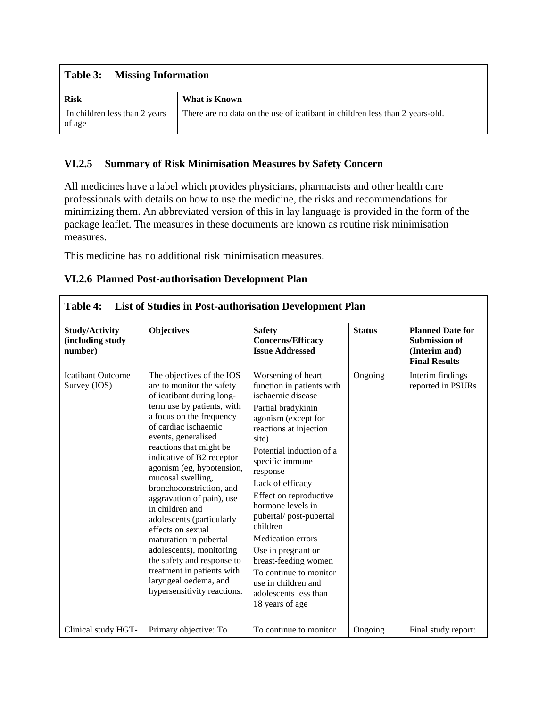#### **Table 3: Missing Information**

| <b>Risk</b>                             | What is Known                                                                |
|-----------------------------------------|------------------------------------------------------------------------------|
| In children less than 2 years<br>of age | There are no data on the use of icatibant in children less than 2 years-old. |

#### **VI.2.5 Summary of Risk Minimisation Measures by Safety Concern**

All medicines have a label which provides physicians, pharmacists and other health care professionals with details on how to use the medicine, the risks and recommendations for minimizing them. An abbreviated version of this in lay language is provided in the form of the package leaflet. The measures in these documents are known as routine risk minimisation measures.

This medicine has no additional risk minimisation measures.

|  |  |  |  | VI.2.6 Planned Post-authorisation Development Plan |  |  |  |
|--|--|--|--|----------------------------------------------------|--|--|--|
|--|--|--|--|----------------------------------------------------|--|--|--|

| Table 4:<br>List of Studies in Post-authorisation Development Plan |                                                                                                                                                                                                                                                                                                                                                                                                                                                                                                                                                                                                                |                                                                                                                                                                                                                                                                                                                                                                                                                                                                                                 |               |                                                                                          |  |
|--------------------------------------------------------------------|----------------------------------------------------------------------------------------------------------------------------------------------------------------------------------------------------------------------------------------------------------------------------------------------------------------------------------------------------------------------------------------------------------------------------------------------------------------------------------------------------------------------------------------------------------------------------------------------------------------|-------------------------------------------------------------------------------------------------------------------------------------------------------------------------------------------------------------------------------------------------------------------------------------------------------------------------------------------------------------------------------------------------------------------------------------------------------------------------------------------------|---------------|------------------------------------------------------------------------------------------|--|
| <b>Study/Activity</b><br>(including study<br>number)               | <b>Objectives</b>                                                                                                                                                                                                                                                                                                                                                                                                                                                                                                                                                                                              | <b>Safety</b><br><b>Concerns/Efficacy</b><br><b>Issue Addressed</b>                                                                                                                                                                                                                                                                                                                                                                                                                             | <b>Status</b> | <b>Planned Date for</b><br><b>Submission of</b><br>(Interim and)<br><b>Final Results</b> |  |
| <b>Icatibant Outcome</b><br>Survey (IOS)                           | The objectives of the IOS<br>are to monitor the safety<br>of icatibant during long-<br>term use by patients, with<br>a focus on the frequency<br>of cardiac ischaemic<br>events, generalised<br>reactions that might be<br>indicative of B2 receptor<br>agonism (eg, hypotension,<br>mucosal swelling,<br>bronchoconstriction, and<br>aggravation of pain), use<br>in children and<br>adolescents (particularly<br>effects on sexual<br>maturation in pubertal<br>adolescents), monitoring<br>the safety and response to<br>treatment in patients with<br>laryngeal oedema, and<br>hypersensitivity reactions. | Worsening of heart<br>function in patients with<br>ischaemic disease<br>Partial bradykinin<br>agonism (except for<br>reactions at injection<br>site)<br>Potential induction of a<br>specific immune<br>response<br>Lack of efficacy<br>Effect on reproductive<br>hormone levels in<br>pubertal/post-pubertal<br>children<br><b>Medication errors</b><br>Use in pregnant or<br>breast-feeding women<br>To continue to monitor<br>use in children and<br>adolescents less than<br>18 years of age | Ongoing       | Interim findings<br>reported in PSURs                                                    |  |
| Clinical study HGT-                                                | Primary objective: To                                                                                                                                                                                                                                                                                                                                                                                                                                                                                                                                                                                          | To continue to monitor                                                                                                                                                                                                                                                                                                                                                                                                                                                                          | Ongoing       | Final study report:                                                                      |  |